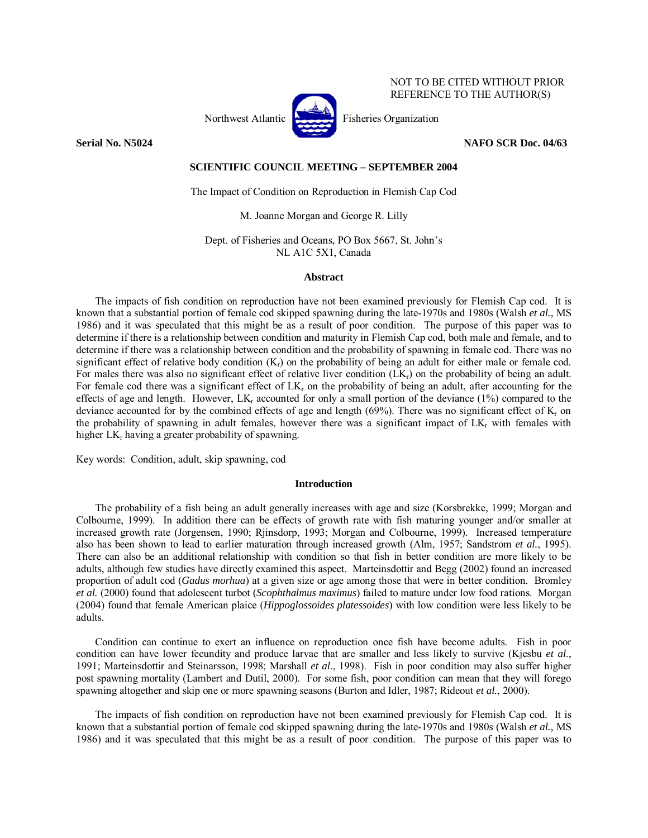

NOT TO BE CITED WITHOUT PRIOR REFERENCE TO THE AUTHOR(S)

# **Serial No. N5024 NAFO SCR Doc. 04/63**

# **SCIENTIFIC COUNCIL MEETING – SEPTEMBER 2004**

The Impact of Condition on Reproduction in Flemish Cap Cod

M. Joanne Morgan and George R. Lilly

Dept. of Fisheries and Oceans, PO Box 5667, St. John's NL A1C 5X1, Canada

# **Abstract**

The impacts of fish condition on reproduction have not been examined previously for Flemish Cap cod. It is known that a substantial portion of female cod skipped spawning during the late-1970s and 1980s (Walsh *et al.,* MS 1986) and it was speculated that this might be as a result of poor condition. The purpose of this paper was to determine if there is a relationship between condition and maturity in Flemish Cap cod, both male and female, and to determine if there was a relationship between condition and the probability of spawning in female cod. There was no significant effect of relative body condition  $(K_r)$  on the probability of being an adult for either male or female cod. For males there was also no significant effect of relative liver condition (LK<sub>c</sub>) on the probability of being an adult. For female cod there was a significant effect of  $LK_r$  on the probability of being an adult, after accounting for the effects of age and length. However,  $LK_r$  accounted for only a small portion of the deviance (1%) compared to the deviance accounted for by the combined effects of age and length (69%). There was no significant effect of K<sub>r</sub> on the probability of spawning in adult females, however there was a significant impact of  $LK_r$  with females with higher  $LK_r$  having a greater probability of spawning.

Key words: Condition, adult, skip spawning, cod

### **Introduction**

The probability of a fish being an adult generally increases with age and size (Korsbrekke, 1999; Morgan and Colbourne, 1999). In addition there can be effects of growth rate with fish maturing younger and/or smaller at increased growth rate (Jorgensen, 1990; Rjinsdorp, 1993; Morgan and Colbourne, 1999). Increased temperature also has been shown to lead to earlier maturation through increased growth (Alm, 1957; Sandstrom *et al.*, 1995). There can also be an additional relationship with condition so that fish in better condition are more likely to be adults, although few studies have directly examined this aspect. Marteinsdottir and Begg (2002) found an increased proportion of adult cod (*Gadus morhua*) at a given size or age among those that were in better condition. Bromley *et al.* (2000) found that adolescent turbot (*Scophthalmus maximus*) failed to mature under low food rations. Morgan (2004) found that female American plaice (*Hippoglossoides platessoides*) with low condition were less likely to be adults.

Condition can continue to exert an influence on reproduction once fish have become adults. Fish in poor condition can have lower fecundity and produce larvae that are smaller and less likely to survive (Kjesbu *et al*., 1991; Marteinsdottir and Steinarsson, 1998; Marshall *et al*., 1998). Fish in poor condition may also suffer higher post spawning mortality (Lambert and Dutil, 2000). For some fish, poor condition can mean that they will forego spawning altogether and skip one or more spawning seasons (Burton and Idler, 1987; Rideout *et al.*, 2000).

The impacts of fish condition on reproduction have not been examined previously for Flemish Cap cod. It is known that a substantial portion of female cod skipped spawning during the late-1970s and 1980s (Walsh *et al.,* MS 1986) and it was speculated that this might be as a result of poor condition. The purpose of this paper was to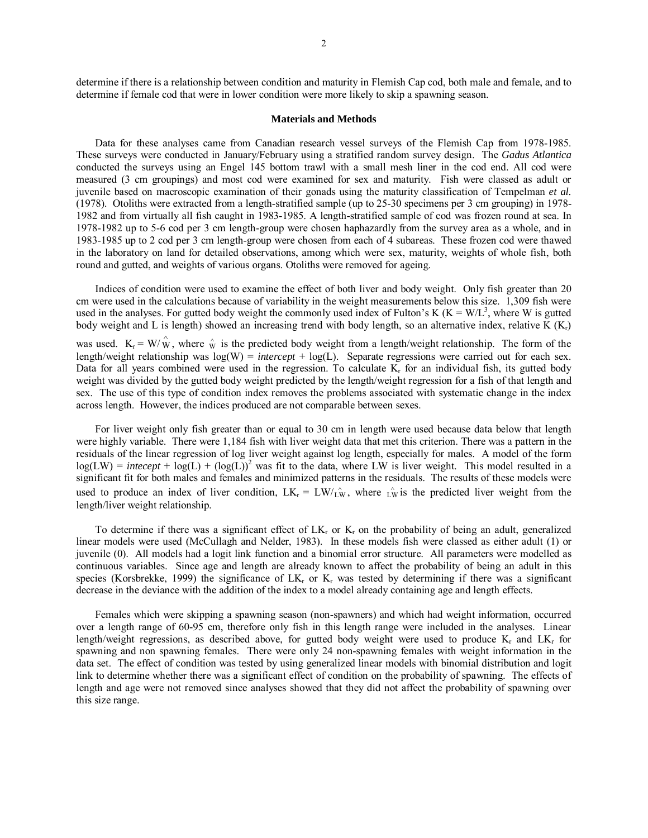determine if there is a relationship between condition and maturity in Flemish Cap cod, both male and female, and to determine if female cod that were in lower condition were more likely to skip a spawning season.

#### **Materials and Methods**

Data for these analyses came from Canadian research vessel surveys of the Flemish Cap from 1978-1985. These surveys were conducted in January/February using a stratified random survey design. The *Gadus Atlantica* conducted the surveys using an Engel 145 bottom trawl with a small mesh liner in the cod end. All cod were measured (3 cm groupings) and most cod were examined for sex and maturity. Fish were classed as adult or juvenile based on macroscopic examination of their gonads using the maturity classification of Tempelman *et al.*  (1978). Otoliths were extracted from a length-stratified sample (up to 25-30 specimens per 3 cm grouping) in 1978- 1982 and from virtually all fish caught in 1983-1985. A length-stratified sample of cod was frozen round at sea. In 1978-1982 up to 5-6 cod per 3 cm length-group were chosen haphazardly from the survey area as a whole, and in 1983-1985 up to 2 cod per 3 cm length-group were chosen from each of 4 subareas. These frozen cod were thawed in the laboratory on land for detailed observations, among which were sex, maturity, weights of whole fish, both round and gutted, and weights of various organs. Otoliths were removed for ageing.

Indices of condition were used to examine the effect of both liver and body weight. Only fish greater than 20 cm were used in the calculations because of variability in the weight measurements below this size. 1,309 fish were used in the analyses. For gutted body weight the commonly used index of Fulton's K ( $K = W/L<sup>3</sup>$ , where W is gutted body weight and L is length) showed an increasing trend with body length, so an alternative index, relative K (K<sub>r</sub>)

was used.  $K_r = W/\hat{W}$ , where  $\hat{W}$  is the predicted body weight from a length/weight relationship. The form of the length/weight relationship was  $log(W) =$  *intercept* +  $log(L)$ . Separate regressions were carried out for each sex. Data for all years combined were used in the regression. To calculate K<sub>r</sub> for an individual fish, its gutted body weight was divided by the gutted body weight predicted by the length/weight regression for a fish of that length and sex. The use of this type of condition index removes the problems associated with systematic change in the index across length. However, the indices produced are not comparable between sexes.

For liver weight only fish greater than or equal to 30 cm in length were used because data below that length were highly variable. There were 1,184 fish with liver weight data that met this criterion. There was a pattern in the residuals of the linear regression of log liver weight against log length, especially for males. A model of the form  $log(LW) =$  *intecept* +  $log(L)$  +  $(log(L))$ <sup>2</sup> was fit to the data, where LW is liver weight. This model resulted in a significant fit for both males and females and minimized patterns in the residuals. The results of these models were used to produce an index of liver condition,  $LK_r = LW/\hat{k}$ , where  $\hat{k}$  is the predicted liver weight from the length/liver weight relationship.

To determine if there was a significant effect of  $LK_r$  or  $K_r$  on the probability of being an adult, generalized linear models were used (McCullagh and Nelder, 1983). In these models fish were classed as either adult (1) or juvenile (0). All models had a logit link function and a binomial error structure. All parameters were modelled as continuous variables. Since age and length are already known to affect the probability of being an adult in this species (Korsbrekke, 1999) the significance of  $LK_r$  or  $K_r$  was tested by determining if there was a significant decrease in the deviance with the addition of the index to a model already containing age and length effects.

Females which were skipping a spawning season (non-spawners) and which had weight information, occurred over a length range of 60-95 cm, therefore only fish in this length range were included in the analyses. Linear length/weight regressions, as described above, for gutted body weight were used to produce  $K_r$  and  $LK_r$  for spawning and non spawning females. There were only 24 non-spawning females with weight information in the data set. The effect of condition was tested by using generalized linear models with binomial distribution and logit link to determine whether there was a significant effect of condition on the probability of spawning. The effects of length and age were not removed since analyses showed that they did not affect the probability of spawning over this size range.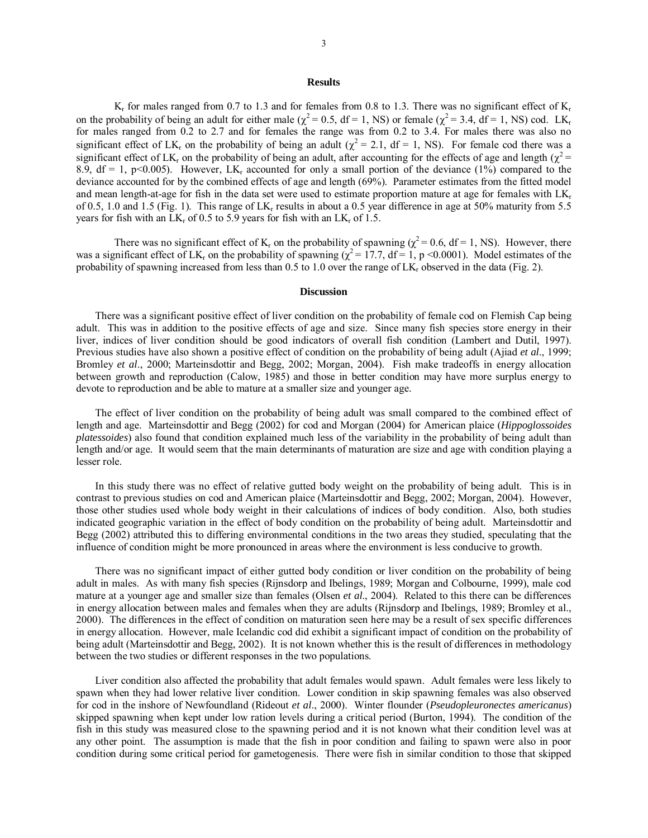## **Results**

 $K_r$  for males ranged from 0.7 to 1.3 and for females from 0.8 to 1.3. There was no significant effect of  $K_r$ on the probability of being an adult for either male ( $\chi^2$  = 0.5, df = 1, NS) or female ( $\chi^2$  = 3.4, df = 1, NS) cod. LK<sub>r</sub> for males ranged from 0.2 to 2.7 and for females the range was from 0.2 to 3.4. For males there was also no significant effect of LK<sub>r</sub> on the probability of being an adult ( $\chi^2 = 2.1$ , df = 1, NS). For female cod there was a significant effect of LK<sub>r</sub> on the probability of being an adult, after accounting for the effects of age and length ( $\chi^2$  = 8.9, df = 1, p<0.005). However, LK<sub>r</sub> accounted for only a small portion of the deviance (1%) compared to the deviance accounted for by the combined effects of age and length (69%). Parameter estimates from the fitted model and mean length-at-age for fish in the data set were used to estimate proportion mature at age for females with  $LK_r$ of 0.5, 1.0 and 1.5 (Fig. 1). This range of LK<sub>r</sub> results in about a 0.5 year difference in age at 50% maturity from 5.5 years for fish with an  $LK_r$  of 0.5 to 5.9 years for fish with an  $LK_r$  of 1.5.

There was no significant effect of  $K_r$  on the probability of spawning ( $\chi^2$  = 0.6, df = 1, NS). However, there was a significant effect of LK<sub>r</sub> on the probability of spawning ( $\chi^2$  = 17.7, df = 1, p <0.0001). Model estimates of the probability of spawning increased from less than  $0.5$  to 1.0 over the range of  $LK_r$  observed in the data (Fig. 2).

# **Discussion**

There was a significant positive effect of liver condition on the probability of female cod on Flemish Cap being adult. This was in addition to the positive effects of age and size. Since many fish species store energy in their liver, indices of liver condition should be good indicators of overall fish condition (Lambert and Dutil, 1997). Previous studies have also shown a positive effect of condition on the probability of being adult (Ajiad *et al*., 1999; Bromley *et al*., 2000; Marteinsdottir and Begg, 2002; Morgan, 2004). Fish make tradeoffs in energy allocation between growth and reproduction (Calow, 1985) and those in better condition may have more surplus energy to devote to reproduction and be able to mature at a smaller size and younger age.

The effect of liver condition on the probability of being adult was small compared to the combined effect of length and age. Marteinsdottir and Begg (2002) for cod and Morgan (2004) for American plaice (*Hippoglossoides platessoides*) also found that condition explained much less of the variability in the probability of being adult than length and/or age. It would seem that the main determinants of maturation are size and age with condition playing a lesser role.

In this study there was no effect of relative gutted body weight on the probability of being adult. This is in contrast to previous studies on cod and American plaice (Marteinsdottir and Begg, 2002; Morgan, 2004). However, those other studies used whole body weight in their calculations of indices of body condition. Also, both studies indicated geographic variation in the effect of body condition on the probability of being adult. Marteinsdottir and Begg (2002) attributed this to differing environmental conditions in the two areas they studied, speculating that the influence of condition might be more pronounced in areas where the environment is less conducive to growth.

There was no significant impact of either gutted body condition or liver condition on the probability of being adult in males. As with many fish species (Rijnsdorp and Ibelings, 1989; Morgan and Colbourne, 1999), male cod mature at a younger age and smaller size than females (Olsen *et al*., 2004). Related to this there can be differences in energy allocation between males and females when they are adults (Rijnsdorp and Ibelings, 1989; Bromley et al., 2000). The differences in the effect of condition on maturation seen here may be a result of sex specific differences in energy allocation. However, male Icelandic cod did exhibit a significant impact of condition on the probability of being adult (Marteinsdottir and Begg, 2002). It is not known whether this is the result of differences in methodology between the two studies or different responses in the two populations.

Liver condition also affected the probability that adult females would spawn. Adult females were less likely to spawn when they had lower relative liver condition. Lower condition in skip spawning females was also observed for cod in the inshore of Newfoundland (Rideout *et al*., 2000). Winter flounder (*Pseudopleuronectes americanus*) skipped spawning when kept under low ration levels during a critical period (Burton, 1994). The condition of the fish in this study was measured close to the spawning period and it is not known what their condition level was at any other point. The assumption is made that the fish in poor condition and failing to spawn were also in poor condition during some critical period for gametogenesis. There were fish in similar condition to those that skipped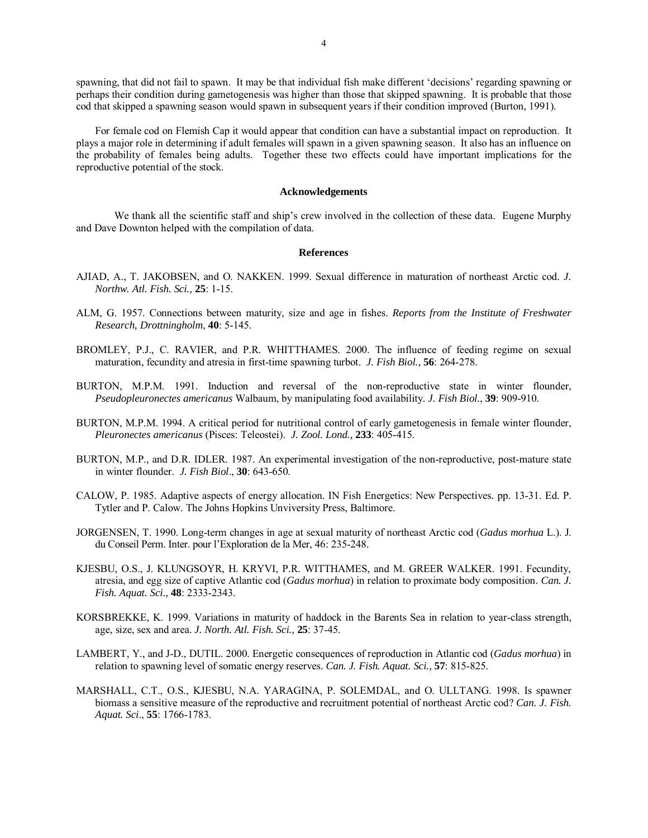spawning, that did not fail to spawn. It may be that individual fish make different 'decisions' regarding spawning or perhaps their condition during gametogenesis was higher than those that skipped spawning. It is probable that those cod that skipped a spawning season would spawn in subsequent years if their condition improved (Burton, 1991).

For female cod on Flemish Cap it would appear that condition can have a substantial impact on reproduction. It plays a major role in determining if adult females will spawn in a given spawning season. It also has an influence on the probability of females being adults. Together these two effects could have important implications for the reproductive potential of the stock.

### **Acknowledgements**

 We thank all the scientific staff and ship's crew involved in the collection of these data. Eugene Murphy and Dave Downton helped with the compilation of data.

### **References**

- AJIAD, A., T. JAKOBSEN, and O. NAKKEN. 1999. Sexual difference in maturation of northeast Arctic cod. *J. Northw. Atl. Fish. Sci.,* **25**: 1-15.
- ALM, G. 1957. Connections between maturity, size and age in fishes. *Reports from the Institute of Freshwater Research, Drottningholm*, **40**: 5-145.
- BROMLEY, P.J., C. RAVIER, and P.R. WHITTHAMES. 2000. The influence of feeding regime on sexual maturation, fecundity and atresia in first-time spawning turbot. *J. Fish Biol.*, **56**: 264-278.
- BURTON, M.P.M. 1991. Induction and reversal of the non-reproductive state in winter flounder, *Pseudopleuronectes americanus* Walbaum, by manipulating food availability. *J. Fish Biol.*, **39**: 909-910.
- BURTON, M.P.M. 1994. A critical period for nutritional control of early gametogenesis in female winter flounder, *Pleuronectes americanus* (Pisces: Teleostei). *J. Zool. Lond.,* **233**: 405-415.
- BURTON, M.P., and D.R. IDLER. 1987. An experimental investigation of the non-reproductive, post-mature state in winter flounder. *J. Fish Biol*., **30**: 643-650.
- CALOW, P. 1985. Adaptive aspects of energy allocation. IN Fish Energetics: New Perspectives. pp. 13-31. Ed. P. Tytler and P. Calow. The Johns Hopkins Unviversity Press, Baltimore.
- JORGENSEN, T. 1990. Long-term changes in age at sexual maturity of northeast Arctic cod (*Gadus morhua* L.). J. du Conseil Perm. Inter. pour l'Exploration de la Mer, 46: 235-248.
- KJESBU, O.S., J. KLUNGSOYR, H. KRYVI, P.R. WITTHAMES, and M. GREER WALKER. 1991. Fecundity, atresia, and egg size of captive Atlantic cod (*Gadus morhua*) in relation to proximate body composition. *Can. J. Fish. Aquat. Sci.,* **48**: 2333-2343.
- KORSBREKKE, K. 1999. Variations in maturity of haddock in the Barents Sea in relation to year-class strength, age, size, sex and area. *J. North. Atl. Fish. Sci.,* **25**: 37-45.
- LAMBERT, Y., and J-D., DUTIL. 2000. Energetic consequences of reproduction in Atlantic cod (*Gadus morhua*) in relation to spawning level of somatic energy reserves. *Can. J. Fish. Aquat. Sci.,* **57**: 815-825.
- MARSHALL, C.T., O.S., KJESBU, N.A. YARAGINA, P. SOLEMDAL, and O. ULLTANG. 1998. Is spawner biomass a sensitive measure of the reproductive and recruitment potential of northeast Arctic cod? *Can. J. Fish. Aquat. Sci*., **55**: 1766-1783.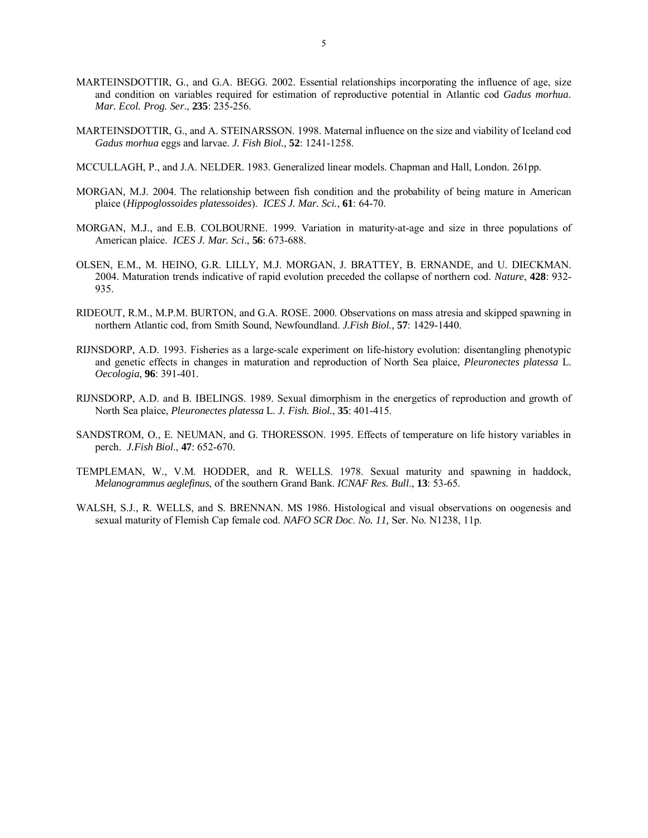- MARTEINSDOTTIR, G., and G.A. BEGG. 2002. Essential relationships incorporating the influence of age, size and condition on variables required for estimation of reproductive potential in Atlantic cod *Gadus morhua*. *Mar. Ecol. Prog. Ser*., **235**: 235-256.
- MARTEINSDOTTIR, G., and A. STEINARSSON. 1998. Maternal influence on the size and viability of Iceland cod *Gadus morhua* eggs and larvae. *J. Fish Biol.,* **52**: 1241-1258.
- MCCULLAGH, P., and J.A. NELDER. 1983. Generalized linear models. Chapman and Hall, London. 261pp.
- MORGAN, M.J. 2004. The relationship between fish condition and the probability of being mature in American plaice (*Hippoglossoides platessoides*). *ICES J. Mar. Sci.*, **61**: 64-70.
- MORGAN, M.J., and E.B. COLBOURNE. 1999. Variation in maturity-at-age and size in three populations of American plaice. *ICES J. Mar. Sci*., **56**: 673-688.
- OLSEN, E.M., M. HEINO, G.R. LILLY, M.J. MORGAN, J. BRATTEY, B. ERNANDE, and U. DIECKMAN. 2004. Maturation trends indicative of rapid evolution preceded the collapse of northern cod. *Nature*, **428**: 932- 935.
- RIDEOUT, R.M., M.P.M. BURTON, and G.A. ROSE. 2000. Observations on mass atresia and skipped spawning in northern Atlantic cod, from Smith Sound, Newfoundland. *J.Fish Biol.,* **57**: 1429-1440.
- RIJNSDORP, A.D. 1993. Fisheries as a large-scale experiment on life-history evolution: disentangling phenotypic and genetic effects in changes in maturation and reproduction of North Sea plaice, *Pleuronectes platessa* L. *Oecologia*, **96**: 391-401.
- RIJNSDORP, A.D. and B. IBELINGS. 1989. Sexual dimorphism in the energetics of reproduction and growth of North Sea plaice, *Pleuronectes platessa* L. *J. Fish. Biol.*, **35**: 401-415.
- SANDSTROM, O., E. NEUMAN, and G. THORESSON. 1995. Effects of temperature on life history variables in perch. *J.Fish Biol*., **47**: 652-670.
- TEMPLEMAN, W., V.M. HODDER, and R. WELLS. 1978. Sexual maturity and spawning in haddock, *Melanogrammus aeglefinus*, of the southern Grand Bank. *ICNAF Res. Bull*., **13**: 53-65.
- WALSH, S.J., R. WELLS, and S. BRENNAN. MS 1986. Histological and visual observations on oogenesis and sexual maturity of Flemish Cap female cod. *NAFO SCR Doc*. *No. 11,* Ser. No. N1238, 11p.